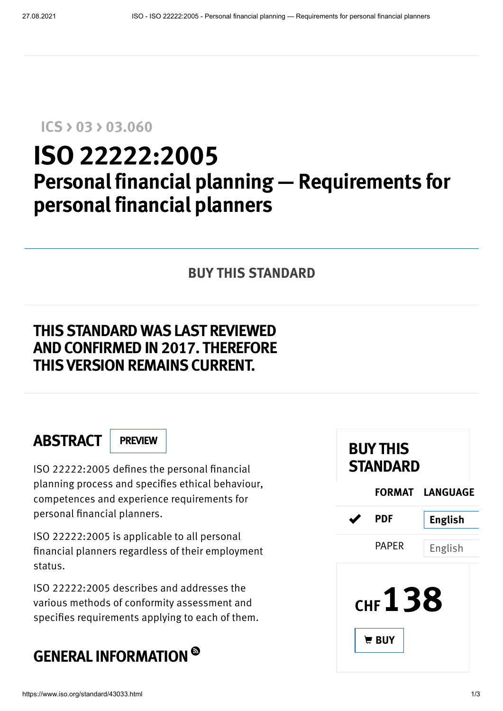[ICS](https://www.iso.org/standards-catalogue/browse-by-ics.html) > [03](https://www.iso.org/en/ics/03.html) > [03.060](https://www.iso.org/en/ics/03.060.html)

# ISO 22222:2005 Personal financial planning — Requirements for personal financial planners

#### BUY THIS [STANDARD](#page-0-0)

## THIS STANDARD WAS LAST REVIEWED AND CONFIRMED IN 2017. THEREFORE THIS VERSION REMAINS CURRENT.

## ABSTRACT | [PREVIEW](https://www.iso.org/obp/ui/#!iso:std:43033:en)



ISO 22222:2005 defines the personal financial planning process and specifies ethical behaviour, competences and experience requirements for personal financial planners.

ISO 22222:2005 is applicable to all personal financial planners regardless of their employment status.

ISO 22222:2005 describes and addresses the various methods of conformity assessment and specifies requirements applying to each of them.

## GENERAL INFORMATION ®

<span id="page-0-0"></span>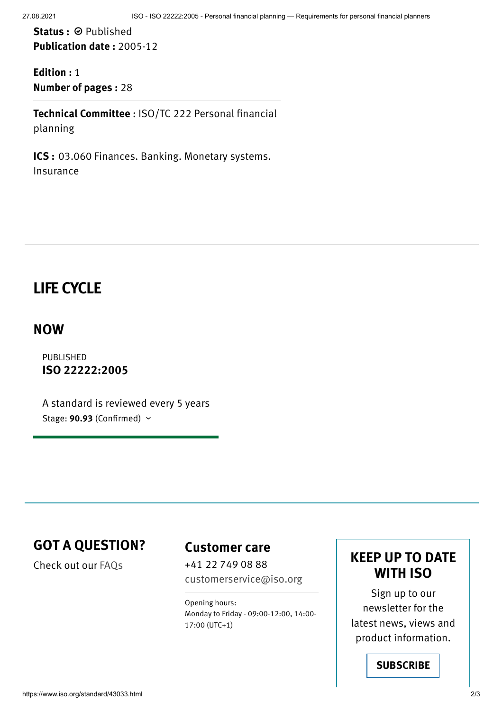Status : @ Published Publication date : 2005-12

Edition : 1 Number of pages : 28

Technical Committee : [ISO/TC](https://www.iso.org/committee/274227.html) 222 Personal financial planning

ICS : [03.060](https://www.iso.org/ics/03.060.html) Finances. Banking. Monetary systems. Insurance

## LIFE CYCLE

#### NOW

PUBLISHED ISO 22222:2005

A standard is reviewed every 5 years Stage: 90.93 (Confirmed)  $\sim$ 

#### GOT A QUESTION?

Check out our [FAQs](https://www.iso.org/frequently-asked-questions-faqs.html)

#### Customer care

+41 22 749 08 88 [customerservice@iso.org](mailto:customerservice@iso.org)

Opening hours: Monday to Friday - 09:00-12:00, 14:00- 17:00 (UTC+1)

#### KEEP UP TO DATE WITH ISO

Sign up to our newsletter for the latest news, views and product information.

**[SUBSCRIBE](https://confirmsubscription.com/h/d/3412DA7993AC3B7C)**